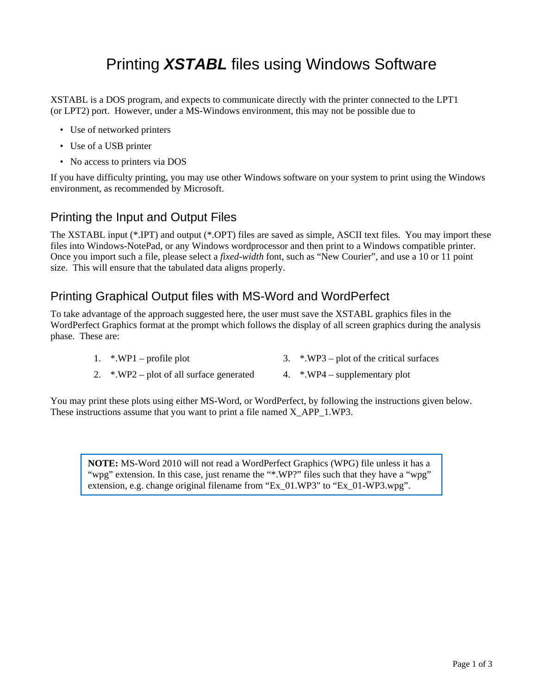# Printing *XSTABL* files using Windows Software

XSTABL is a DOS program, and expects to communicate directly with the printer connected to the LPT1 (or LPT2) port. However, under a MS-Windows environment, this may not be possible due to

- Use of networked printers
- Use of a USB printer
- No access to printers via DOS

If you have difficulty printing, you may use other Windows software on your system to print using the Windows environment, as recommended by Microsoft.

## Printing the Input and Output Files

The XSTABL input (\*.IPT) and output (\*.OPT) files are saved as simple, ASCII text files. You may import these files into Windows-NotePad, or any Windows wordprocessor and then print to a Windows compatible printer. Once you import such a file, please select a *fixed-width* font, such as "New Courier", and use a 10 or 11 point size. This will ensure that the tabulated data aligns properly.

## Printing Graphical Output files with MS-Word and WordPerfect

To take advantage of the approach suggested here, the user must save the XSTABL graphics files in the WordPerfect Graphics format at the prompt which follows the display of all screen graphics during the analysis phase. These are:

- 1. \*.WP1 profile plot 3. \*.WP3 plot of the critical surfaces
- 2.  $\cdot$   $\cdot$  WP2 plot of all surface generated 4.  $\cdot$   $\cdot$  WP4 supplementary plot

You may print these plots using either MS-Word, or WordPerfect, by following the instructions given below. These instructions assume that you want to print a file named X\_APP\_1.WP3.

**NOTE:** MS-Word 2010 will not read a WordPerfect Graphics (WPG) file unless it has a "wpg" extension. In this case, just rename the "\*.WP?" files such that they have a "wpg" extension, e.g. change original filename from "Ex\_01.WP3" to "Ex\_01-WP3.wpg".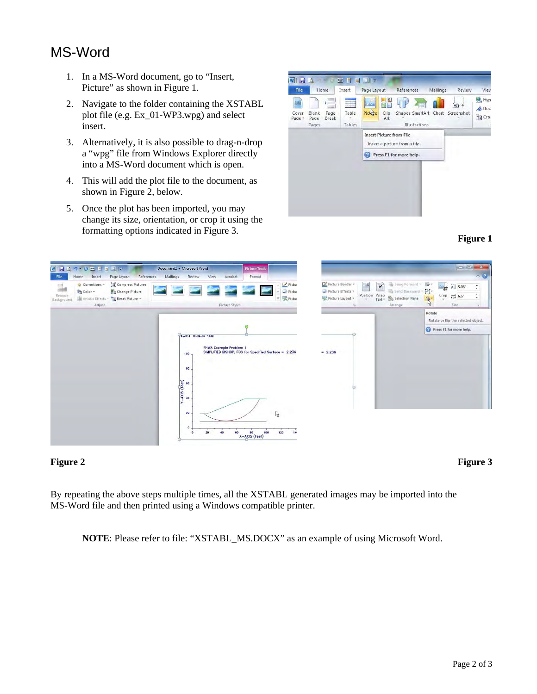## MS-Word

- 1. In a MS-Word document, go to "Insert, Picture" as shown in Figure 1.
- 2. Navigate to the folder containing the XSTABL plot file (e.g. Ex\_01-WP3.wpg) and select insert.
- 3. Alternatively, it is also possible to drag-n-drop a "wpg" file from Windows Explorer directly into a MS-Word document which is open.
- 4. This will add the plot file to the document, as shown in Figure 2, below.
- 5. Once the plot has been imported, you may change its size, orientation, or crop it using the formatting options indicated in Figure 3. **Figure 1**





### **Figure 2** Figure 3

By repeating the above steps multiple times, all the XSTABL generated images may be imported into the MS-Word file and then printed using a Windows compatible printer.

**NOTE**: Please refer to file: "XSTABL\_MS.DOCX" as an example of using Microsoft Word.